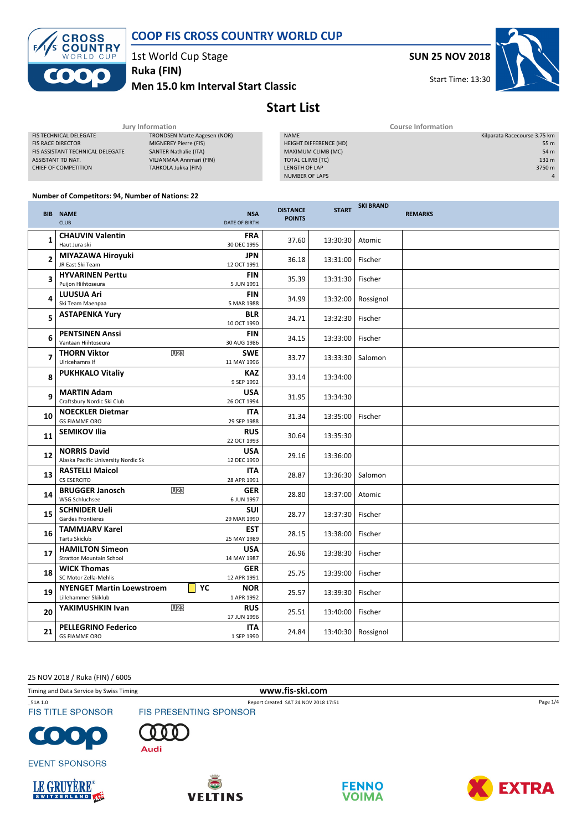



1st World Cup Stage

Men 15.0 km Interval Start Classic Ruka (FIN)

SUN 25 NOV 2018



Start Time: 13:30

# Start List

| Jury Information             | <b>Course Information</b> |                              |  |  |
|------------------------------|---------------------------|------------------------------|--|--|
| TRONDSEN Marte Aagesen (NOR) | <b>NAME</b>               | Kilparata Racecourse 3.75 km |  |  |
| MIGNEREY Pierre (FIS)        | HEIGHT DIFFERENCE (HD)    | 55 m                         |  |  |
| <b>SANTER Nathalie (ITA)</b> | MAXIMUM CLIMB (MC)        | 54 m                         |  |  |
| VILJANMAA Annmari (FIN)      | TOTAL CLIMB (TC)          | 131 m                        |  |  |
| TAHKOLA Jukka (FIN)          | LENGTH OF LAP             | 3750 m                       |  |  |
|                              | NUMBER OF LAPS            | $\overline{4}$               |  |  |
|                              |                           |                              |  |  |

#### Number of Competitors: 94, Number of Nations: 22

|    | <b>BIB NAME</b><br><b>CLUB</b>                             |                 | <b>NSA</b><br><b>DATE OF BIRTH</b> | <b>DISTANCE</b><br><b>POINTS</b> | <b>START</b> | <b>SKI BRAND</b> | <b>REMARKS</b> |
|----|------------------------------------------------------------|-----------------|------------------------------------|----------------------------------|--------------|------------------|----------------|
| 1  | <b>CHAUVIN Valentin</b><br>Haut Jura ski                   |                 | <b>FRA</b><br>30 DEC 1995          | 37.60                            | 13:30:30     | Atomic           |                |
| 2  | MIYAZAWA Hiroyuki<br>JR East Ski Team                      |                 | <b>JPN</b><br>12 OCT 1991          | 36.18                            | 13:31:00     | Fischer          |                |
| 3  | <b>HYVARINEN Perttu</b><br>Puijon Hiihtoseura              |                 | <b>FIN</b><br>5 JUN 1991           | 35.39                            | 13:31:30     | Fischer          |                |
| 4  | <b>LUUSUA Ari</b><br>Ski Team Maenpaa                      |                 | <b>FIN</b><br>5 MAR 1988           | 34.99                            | 13:32:00     | Rossignol        |                |
| 5  | <b>ASTAPENKA Yury</b>                                      |                 | <b>BLR</b><br>10 OCT 1990          | 34.71                            | 13:32:30     | Fischer          |                |
| 6  | <b>PENTSINEN Anssi</b><br>Vantaan Hiihtoseura              |                 | <b>FIN</b><br>30 AUG 1986          | 34.15                            | 13:33:00     | Fischer          |                |
| 7  | <b>THORN Viktor</b><br>Ulricehamns If                      | U <sub>23</sub> | <b>SWE</b><br>11 MAY 1996          | 33.77                            | 13:33:30     | Salomon          |                |
| 8  | <b>PUKHKALO Vitaliy</b>                                    |                 | <b>KAZ</b><br>9 SEP 1992           | 33.14                            | 13:34:00     |                  |                |
| 9  | <b>MARTIN Adam</b><br>Craftsbury Nordic Ski Club           |                 | <b>USA</b><br>26 OCT 1994          | 31.95                            | 13:34:30     |                  |                |
| 10 | <b>NOECKLER Dietmar</b><br><b>GS FIAMME ORO</b>            |                 | <b>ITA</b><br>29 SEP 1988          | 31.34                            | 13:35:00     | Fischer          |                |
| 11 | <b>SEMIKOV Ilia</b>                                        |                 | <b>RUS</b><br>22 OCT 1993          | 30.64                            | 13:35:30     |                  |                |
| 12 | <b>NORRIS David</b><br>Alaska Pacific University Nordic Sk |                 | <b>USA</b><br>12 DEC 1990          | 29.16                            | 13:36:00     |                  |                |
| 13 | <b>RASTELLI Maicol</b><br>CS ESERCITO                      |                 | <b>ITA</b><br>28 APR 1991          | 28.87                            | 13:36:30     | Salomon          |                |
| 14 | <b>BRUGGER Janosch</b><br>WSG Schluchsee                   | U <sub>23</sub> | <b>GER</b><br>6 JUN 1997           | 28.80                            | 13:37:00     | Atomic           |                |
| 15 | <b>SCHNIDER Ueli</b><br>Gardes Frontieres                  |                 | <b>SUI</b><br>29 MAR 1990          | 28.77                            | 13:37:30     | Fischer          |                |
| 16 | <b>TAMMJARV Karel</b><br>Tartu Skiclub                     |                 | <b>EST</b><br>25 MAY 1989          | 28.15                            | 13:38:00     | Fischer          |                |
| 17 | <b>HAMILTON Simeon</b><br><b>Stratton Mountain School</b>  |                 | <b>USA</b><br>14 MAY 1987          | 26.96                            | 13:38:30     | Fischer          |                |
| 18 | <b>WICK Thomas</b><br>SC Motor Zella-Mehlis                |                 | <b>GER</b><br>12 APR 1991          | 25.75                            | 13:39:00     | Fischer          |                |
| 19 | <b>NYENGET Martin Loewstroem</b><br>Lillehammer Skiklub    | YC              | <b>NOR</b><br>1 APR 1992           | 25.57                            | 13:39:30     | Fischer          |                |
| 20 | YAKIMUSHKIN Ivan                                           | U <sub>23</sub> | <b>RUS</b><br>17 JUN 1996          | 25.51                            | 13:40:00     | Fischer          |                |
| 21 | <b>PELLEGRINO Federico</b><br><b>GS FIAMME ORO</b>         |                 | <b>ITA</b><br>1 SEP 1990           | 24.84                            | 13:40:30     | Rossignol        |                |

25 NOV 2018 / Ruka (FIN) / 6005

Timing and Data Service by Swiss Timing www.fis-ski.com

**FIS TITLE SPONSOR** 



\_51A 1.0 Report Created SAT 24 NOV 2018 17:51















Page 1/4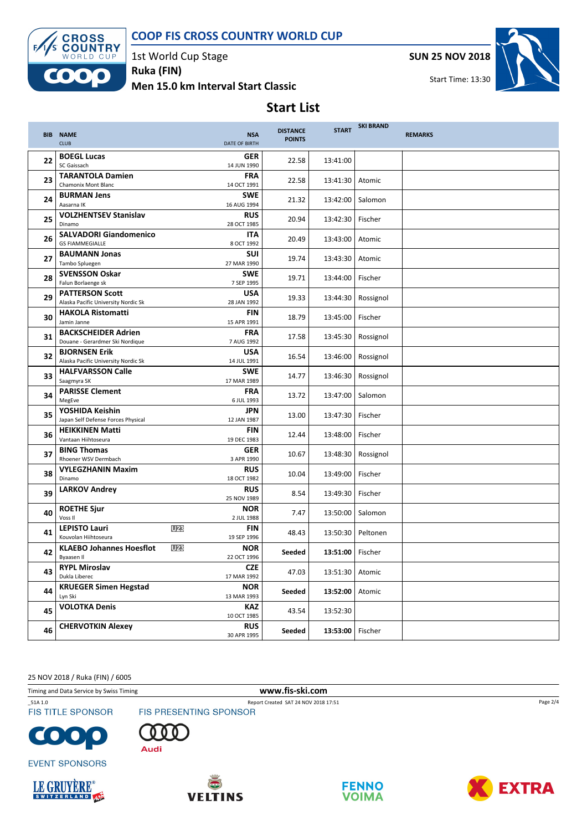#### COOP FIS CROSS COUNTRY WORLD CUP



1st World Cup Stage Ruka (FIN)

Men 15.0 km Interval Start Classic



Start Time: 13:30



### Start List

|    | <b>BIB NAME</b><br><b>CLUB</b>                                   | <b>NSA</b><br>DATE OF BIRTH | <b>DISTANCE</b><br><b>POINTS</b> | <b>START</b>       | <b>SKI BRAND</b> | <b>REMARKS</b> |
|----|------------------------------------------------------------------|-----------------------------|----------------------------------|--------------------|------------------|----------------|
| 22 | <b>BOEGL Lucas</b><br>SC Gaissach                                | <b>GER</b><br>14 JUN 1990   | 22.58                            | 13:41:00           |                  |                |
| 23 | <b>TARANTOLA Damien</b><br>Chamonix Mont Blanc                   | <b>FRA</b><br>14 OCT 1991   | 22.58                            | 13:41:30           | Atomic           |                |
| 24 | <b>BURMAN Jens</b><br>Aasarna IK                                 | <b>SWE</b><br>16 AUG 1994   | 21.32                            | 13:42:00           | Salomon          |                |
| 25 | <b>VOLZHENTSEV Stanislav</b><br>Dinamo                           | <b>RUS</b><br>28 OCT 1985   | 20.94                            | 13:42:30           | Fischer          |                |
| 26 | <b>SALVADORI Giandomenico</b><br><b>GS FIAMMEGIALLE</b>          | <b>ITA</b><br>8 OCT 1992    | 20.49                            | 13:43:00           | Atomic           |                |
| 27 | <b>BAUMANN Jonas</b><br>Tambo Spluegen                           | <b>SUI</b><br>27 MAR 1990   | 19.74                            | 13:43:30           | Atomic           |                |
| 28 | <b>SVENSSON Oskar</b><br>Falun Borlaenge sk                      | <b>SWE</b><br>7 SEP 1995    | 19.71                            | 13:44:00           | Fischer          |                |
| 29 | <b>PATTERSON Scott</b><br>Alaska Pacific University Nordic Sk    | <b>USA</b><br>28 JAN 1992   | 19.33                            | 13:44:30           | Rossignol        |                |
| 30 | <b>HAKOLA Ristomatti</b><br>Jamin Janne                          | <b>FIN</b><br>15 APR 1991   | 18.79                            | 13:45:00           | Fischer          |                |
| 31 | <b>BACKSCHEIDER Adrien</b><br>Douane - Gerardmer Ski Nordique    | <b>FRA</b><br>7 AUG 1992    | 17.58                            | 13:45:30           | Rossignol        |                |
| 32 | <b>BJORNSEN Erik</b><br>Alaska Pacific University Nordic Sk      | <b>USA</b><br>14 JUL 1991   | 16.54                            | 13:46:00           | Rossignol        |                |
| 33 | <b>HALFVARSSON Calle</b><br>Saagmyra SK                          | <b>SWE</b><br>17 MAR 1989   | 14.77                            | 13:46:30           | Rossignol        |                |
| 34 | <b>PARISSE Clement</b><br>MegEve                                 | <b>FRA</b><br>6 JUL 1993    | 13.72                            | 13:47:00           | Salomon          |                |
| 35 | YOSHIDA Keishin<br>Japan Self Defense Forces Physical            | <b>JPN</b><br>12 JAN 1987   | 13.00                            | 13:47:30           | Fischer          |                |
| 36 | <b>HEIKKINEN Matti</b><br>Vantaan Hiihtoseura                    | <b>FIN</b><br>19 DEC 1983   | 12.44                            | 13:48:00           | Fischer          |                |
| 37 | <b>BING Thomas</b><br>Rhoener WSV Dermbach                       | <b>GER</b><br>3 APR 1990    | 10.67                            | 13:48:30           | Rossignol        |                |
| 38 | <b>VYLEGZHANIN Maxim</b><br>Dinamo                               | <b>RUS</b><br>18 OCT 1982   | 10.04                            | 13:49:00           | Fischer          |                |
| 39 | <b>LARKOV Andrey</b>                                             | <b>RUS</b><br>25 NOV 1989   | 8.54                             | 13:49:30           | Fischer          |                |
| 40 | <b>ROETHE Sjur</b><br>Voss II                                    | <b>NOR</b><br>2 JUL 1988    | 7.47                             | 13:50:00           | Salomon          |                |
| 41 | <b>U23</b><br><b>LEPISTO Lauri</b><br>Kouvolan Hiihtoseura       | <b>FIN</b><br>19 SEP 1996   | 48.43                            | 13:50:30           | Peltonen         |                |
| 42 | U <sub>23</sub><br><b>KLAEBO Johannes Hoesflot</b><br>Byaasen II | <b>NOR</b><br>22 OCT 1996   | Seeded                           | 13:51:00           | Fischer          |                |
| 43 | <b>RYPL Miroslav</b><br>Dukla Liberec                            | <b>CZE</b><br>17 MAR 1992   | 47.03                            | 13:51:30           | Atomic           |                |
| 44 | <b>KRUEGER Simen Hegstad</b><br>Lyn Ski                          | <b>NOR</b><br>13 MAR 1993   | Seeded                           | 13:52:00           | Atomic           |                |
| 45 | <b>VOLOTKA Denis</b>                                             | <b>KAZ</b><br>10 OCT 1985   | 43.54                            | 13:52:30           |                  |                |
| 46 | <b>CHERVOTKIN Alexey</b>                                         | <b>RUS</b><br>30 APR 1995   | Seeded                           | 13:53:00   Fischer |                  |                |

25 NOV 2018 / Ruka (FIN) / 6005

Timing and Data Service by Swiss Timing **www.fis-ski.com** 

**FIS TITLE SPONSOR** 

















Page 2/4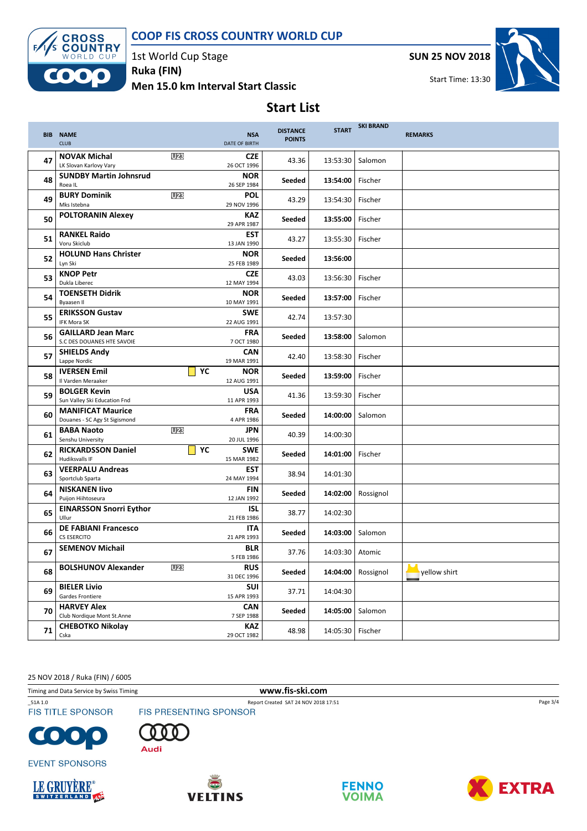#### COOP FIS CROSS COUNTRY WORLD CUP



1st World Cup Stage Ruka (FIN)

Men 15.0 km Interval Start Classic

SUN 25 NOV 2018



Start Time: 13:30

## Start List

|    | <b>BIB NAME</b><br><b>CLUB</b>                            |                 | <b>NSA</b><br><b>DATE OF BIRTH</b> | <b>DISTANCE</b><br><b>POINTS</b> | <b>START</b>       | <b>SKI BRAND</b> | <b>REMARKS</b> |
|----|-----------------------------------------------------------|-----------------|------------------------------------|----------------------------------|--------------------|------------------|----------------|
| 47 | <b>NOVAK Michal</b><br>LK Slovan Karlovy Vary             | U <sub>23</sub> | <b>CZE</b><br>26 OCT 1996          | 43.36                            | 13:53:30           | Salomon          |                |
| 48 | <b>SUNDBY Martin Johnsrud</b><br>Roea IL                  |                 | <b>NOR</b><br>26 SEP 1984          | Seeded                           | 13:54:00           | Fischer          |                |
| 49 | <b>BURY Dominik</b><br>Mks Istebna                        | U <sub>23</sub> | <b>POL</b><br>29 NOV 1996          | 43.29                            | 13:54:30           | Fischer          |                |
| 50 | <b>POLTORANIN Alexey</b>                                  |                 | <b>KAZ</b><br>29 APR 1987          | Seeded                           | 13:55:00           | Fischer          |                |
| 51 | <b>RANKEL Raido</b><br>Voru Skiclub                       |                 | <b>EST</b><br>13 JAN 1990          | 43.27                            | 13:55:30           | Fischer          |                |
| 52 | <b>HOLUND Hans Christer</b><br>Lyn Ski                    |                 | <b>NOR</b><br>25 FEB 1989          | Seeded                           | 13:56:00           |                  |                |
| 53 | <b>KNOP Petr</b><br>Dukla Liberec                         |                 | <b>CZE</b><br>12 MAY 1994          | 43.03                            | 13:56:30           | Fischer          |                |
| 54 | <b>TOENSETH Didrik</b><br>Byaasen II                      |                 | <b>NOR</b><br>10 MAY 1991          | Seeded                           | 13:57:00           | Fischer          |                |
| 55 | <b>ERIKSSON Gustav</b><br><b>IFK Mora SK</b>              |                 | <b>SWE</b><br>22 AUG 1991          | 42.74                            | 13:57:30           |                  |                |
| 56 | <b>GAILLARD Jean Marc</b><br>S.C DES DOUANES HTE SAVOIE   |                 | <b>FRA</b><br>7 OCT 1980           | Seeded                           | 13:58:00           | Salomon          |                |
| 57 | <b>SHIELDS Andy</b><br>Lappe Nordic                       |                 | <b>CAN</b><br>19 MAR 1991          | 42.40                            | 13:58:30           | Fischer          |                |
| 58 | <b>IVERSEN Emil</b><br>Il Varden Meraaker                 | $\mathsf{YC}$   | <b>NOR</b><br>12 AUG 1991          | Seeded                           | 13:59:00           | Fischer          |                |
| 59 | <b>BOLGER Kevin</b><br>Sun Valley Ski Education Fnd       |                 | <b>USA</b><br>11 APR 1993          | 41.36                            | 13:59:30           | Fischer          |                |
| 60 | <b>MANIFICAT Maurice</b><br>Douanes - SC Agy St Sigismond |                 | <b>FRA</b><br>4 APR 1986           | Seeded                           | 14:00:00           | Salomon          |                |
| 61 | <b>BABA Naoto</b><br>Senshu University                    | U <sub>23</sub> | <b>JPN</b><br>20 JUL 1996          | 40.39                            | 14:00:30           |                  |                |
| 62 | <b>RICKARDSSON Daniel</b><br>Hudiksvalls IF               | YC              | <b>SWE</b><br>15 MAR 1982          | Seeded                           | 14:01:00           | Fischer          |                |
| 63 | <b>VEERPALU Andreas</b><br>Sportclub Sparta               |                 | <b>EST</b><br>24 MAY 1994          | 38.94                            | 14:01:30           |                  |                |
| 64 | <b>NISKANEN livo</b><br>Puijon Hiihtoseura                |                 | <b>FIN</b><br>12 JAN 1992          | Seeded                           | 14:02:00           | Rossignol        |                |
| 65 | <b>EINARSSON Snorri Eythor</b><br>Ullur                   |                 | <b>ISL</b><br>21 FEB 1986          | 38.77                            | 14:02:30           |                  |                |
| 66 | <b>DE FABIANI Francesco</b><br><b>CS ESERCITO</b>         |                 | <b>ITA</b><br>21 APR 1993          | Seeded                           | 14:03:00           | Salomon          |                |
| 67 | <b>SEMENOV Michail</b>                                    |                 | <b>BLR</b><br>5 FEB 1986           | 37.76                            | 14:03:30           | Atomic           |                |
| 68 | <b>BOLSHUNOV Alexander</b>                                | U <sub>23</sub> | <b>RUS</b><br>31 DEC 1996          | Seeded                           | 14:04:00           | Rossignol        | yellow shirt   |
| 69 | <b>BIELER Livio</b><br>Gardes Frontiere                   |                 | <b>SUI</b><br>15 APR 1993          | 37.71                            | 14:04:30           |                  |                |
| 70 | <b>HARVEY Alex</b><br>Club Nordique Mont St.Anne          |                 | <b>CAN</b><br>7 SEP 1988           | Seeded                           | 14:05:00           | Salomon          |                |
| 71 | <b>CHEBOTKO Nikolay</b><br>Cska                           |                 | <b>KAZ</b><br>29 OCT 1982          | 48.98                            | 14:05:30   Fischer |                  |                |

25 NOV 2018 / Ruka (FIN) / 6005

Timing and Data Service by Swiss Timing **www.fis-ski.com** 

\_51A 1.0 Report Created SAT 24 NOV 2018 17:51 **FIS TITLE SPONSOR** 

 $\bullet$ O



n Audi



**EVENT SPONSORS** 







Page 3/4